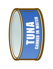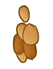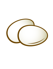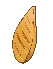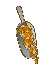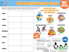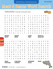### Food 'N Fitness: The Kid Connection

1st-3rd Grade

Meat & Beans Word Search

|                        | <b>Instructions:</b> Find and circle each word. |                               |              |               |                             |              |                                 |              |               |              |  |                            |                                | $\mathbf{O}$ $\mathbf{O}$ |              |                                 |            |                     |              |              |             |  |  |  |
|------------------------|-------------------------------------------------|-------------------------------|--------------|---------------|-----------------------------|--------------|---------------------------------|--------------|---------------|--------------|--|----------------------------|--------------------------------|---------------------------|--------------|---------------------------------|------------|---------------------|--------------|--------------|-------------|--|--|--|
|                        | B                                               | E.                            | A            | N             | S                           | S            | W                               | S            | L             | R            |  | S                          |                                | J                         | G            | X                               | Y          | U                   | P            | M            |             |  |  |  |
|                        | M                                               | $\mathcal C$                  | K            | U             | A                           | N            | Н                               | Е            | D             | Q            |  | D                          | C                              | O                         | H            | Ε                               | F          |                     | Ε            | A            | $\mathbb N$ |  |  |  |
|                        | U                                               | J                             | N            | W             | S                           | E            | Ε                               | D            | S             | R            |  | F                          | Z                              | F                         | S            | F                               |            | К                   | V            | O            | Ε           |  |  |  |
|                        | D                                               | K                             | U            | R             | Ζ                           | Ε            | X                               | V            | B             | Z            |  |                            | D                              | Ε                         | P            | E                               | P          | W                   | U            |              | Τ           |  |  |  |
|                        | $\mathsf{P}$                                    | V                             | Τ            | G             | Τ                           | V            | L                               | F            | G             | L            |  | S                          | U                              | M                         | U            | S                               | C          | L                   | Ε            | $\bigcirc$   | M           |  |  |  |
|                        | K.                                              | K                             | S            | O             | Υ                           | Τ            | N                               | K            | $\lfloor$     | W            |  | Н                          | X                              | Q                         | $\bigcup$    | Q                               | S          | $\Omega$            | M            | S            | $\bigcirc$  |  |  |  |
|                        | $\bigcirc$                                      | U                             | V            | $\bigcirc$    | Z                           | D            | С                               | U            | Н             | O            |  | Y                          | M                              | D                         | H            | Е                               | A          | L                   | Τ            | Н            | Υ           |  |  |  |
|                        | Q                                               | $\Omega$                      | G            | $\bigcirc$    |                             | R            | O                               | N            | $\mathcal C$  |              |  | K.                         | S                              | Н                         | D            | Е                               | A          | $\bigcirc$          | W            | $\bigcirc$   | Н           |  |  |  |
|                        | B                                               |                               | N            | V             | B                           | L            | A                               | J            | L             | Τ            |  | K                          | H                              | R                         | $\bigcirc$   | Н                               | U          | A                   | K            | N            | V           |  |  |  |
|                        | <b>BEANS</b><br><b>NUTS</b>                     |                               |              |               | <b>SEEDS</b><br><b>IRON</b> |              |                                 |              |               |              |  | <b>LEAN</b><br><b>FISH</b> |                                |                           |              | <b>MUSCLE</b><br><b>HEALTHY</b> |            |                     |              |              |             |  |  |  |
| $\bullet$              |                                                 | J                             | L            | H             | G                           |              | F                               | M            | F             | $\mathsf{P}$ |  | $\cdot$                    | S.                             | G                         | L            | F                               | B          | S                   | $\bigcirc$   | $\mathsf{P}$ | B           |  |  |  |
| PEANU<br><b>BUTTEI</b> | Ν                                               | U                             | Е            |               | Н                           | Е            | J                               |              | O             | Ε            |  | P                          |                                | M                         | V            | Υ                               | W          | Z                   | $\cdot$      | S            | D           |  |  |  |
|                        | F                                               | $\bigcirc$                    |              |               | C                           | $\mathbf{J}$ | M                               | W            | $\mathcal{C}$ | A            |  | Υ                          | Н                              | R                         | D            | A                               | V          | N                   | G            | X            | N           |  |  |  |
|                        | $\mathsf{P}$                                    | R                             | O            |               | Е                           |              | N                               |              |               | S            |  | $\bigcap$                  | Τ                              | B                         | X            | $\mathsf{P}$                    | B          | Е                   | G            | G            | S           |  |  |  |
|                        | M                                               | $Q$ $O$                       |              |               | FQZIUOQ                     |              |                                 |              |               |              |  |                            |                                |                           |              |                                 |            | G Q I K J H E A Z X |              |              |             |  |  |  |
|                        | P                                               | $\mathsf{D}$                  | $\mathsf{P}$ | M             |                             | P Y C        |                                 | $\mathsf{N}$ | $\mathbf{L}$  | $\bigcirc$   |  | V                          | $\mathbf{I}$                   | $\top$                    | $\mathsf{A}$ | M                               | $\Box$     | N                   | S            | $\bigcirc$   | S           |  |  |  |
|                        | P                                               | K                             | $\mathsf{D}$ | $\mathcal{C}$ | M                           | $\mathbf{L}$ | $\mathsf{A}$                    | V            | $\bigcup$     | Y            |  | R                          | Y                              | $\mathsf{D}$              | $\mathbf{L}$ | Τ                               | $\bigcirc$ | A                   |              | $\top$       | R           |  |  |  |
|                        | $S_{\cdot}$                                     | Y                             | M            | $\top$        | $\bigcup$                   | R            | $K_{\parallel}$                 | E.           | Y             | K            |  | Y                          | Q                              | B                         | D            | Y                               | K          | M                   | $\mathsf{R}$ | F            | S           |  |  |  |
|                        | $\mathcal{C}$                                   | H                             |              | $\mathcal{C}$ | K                           | E            | N                               | M            | S             | $\mathsf{K}$ |  | G                          | S                              | B                         | G            | R                               | M          | M                   | E            | A            | $\top$      |  |  |  |
|                        |                                                 | <b>PEAS</b><br><b>PROTEIN</b> |              |               |                             |              | <b>CHICKEN</b><br><b>TURKEY</b> |              |               |              |  |                            | <b>VITAMINS</b><br><b>EGGS</b> |                           |              |                                 |            |                     | <b>MEAT</b>  |              |             |  |  |  |

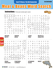### **Food 'N Fitness: The Kid Connection**

**1st-3rd Grade** 

# **Meat & Beans Word Seare**

## **Instructions:** Find and circle each word.



|                         | Β            | Е              | A               | $\mathsf{N}$             | S         | S            | W              | S            |            | R                                         | S           |                 | J           | G            | $\chi$ | Y           | U              | P                | M                  | J             |  |  |
|-------------------------|--------------|----------------|-----------------|--------------------------|-----------|--------------|----------------|--------------|------------|-------------------------------------------|-------------|-----------------|-------------|--------------|--------|-------------|----------------|------------------|--------------------|---------------|--|--|
|                         | M            | C              | K               | $\cup$                   | Α         | N            | Н              | Ε            | D          | Q                                         | D           | С               | O           | Н            | Ε      | F           |                | Ε                | Α                  | N             |  |  |
|                         | $\cup$       | J              | Ν               | W                        | S         | Ε            | Е              | D            | S          | R                                         | F           | Z               | F           | S            | F      |             | K              | V                | $\bigcirc$         | Ε             |  |  |
|                         | D            | K              | U               | R                        | Ζ         | Е            | Χ              | V            | B          | Ζ                                         |             | $\Box$          | Е           | Ρ            | Ε      | Ρ           | W              | U                |                    | Τ             |  |  |
|                         | P            | $\vee$         |                 | G                        |           |              |                | F            | G          |                                           | S           |                 | M           | U            | S      | С           |                | Е                | ( )                | M             |  |  |
|                         | Κ            | Κ              | S               | ∩                        |           |              | $\mathsf{N}$   | Κ            |            | W                                         | Н           | Χ               | Q           | U            | Q      | S           | Q              | Μ                | S                  | O             |  |  |
|                         | O            |                | $\vee$          | O                        |           | D            | С              | U            |            | Q                                         | Y           | M               | D           | Н            | Е      | A           |                | Τ                | Н                  | Υ             |  |  |
|                         | Q            | Q              | G               | ◯                        |           | R            | O              | N            | C          |                                           | Κ           | S               | Н           | D            | Ε      | Α           | ∩              | W                | $\left( \ \right)$ | Н             |  |  |
|                         | B            |                | $\mathsf{N}$    | $\vee$                   | B         |              | A              | J            |            | Τ                                         | Κ           | Н               | R           | ∩            | Н      | U           | A              | Κ                | N                  | V             |  |  |
|                         |              | <b>BEANS</b>   |                 |                          |           | <b>SEEDS</b> |                |              |            |                                           |             | <b>LEAN</b>     |             |              |        |             | <b>MUSCLE</b>  |                  |                    |               |  |  |
|                         |              | <b>NUTS</b>    |                 |                          |           | <b>IRON</b>  |                |              |            |                                           | <b>FISH</b> |                 |             |              |        |             | <b>HEALTHY</b> |                  |                    |               |  |  |
| $\overline{\mathbf{O}}$ |              |                |                 |                          |           |              |                |              |            |                                           |             |                 |             |              |        |             |                |                  |                    |               |  |  |
|                         | $\mathbf{I}$ | J              |                 | Н                        | G         |              | F              | М            | F          | Ρ                                         | J           | S               | G           |              | F      | Β           | S              | $\left( \right)$ | P                  | B             |  |  |
| nu<br>Tei               | $\mathsf{N}$ |                | Е               | $\overline{\phantom{a}}$ | Н         | Е            | J              |              | $\bigcirc$ | Ε                                         | P           |                 | M           | V            | Y      | W           | Ζ              | J                | S                  | $\Box$        |  |  |
|                         | F            | Q              |                 | J                        | С         | J            | M              | W            | С          | A                                         | Υ           | Н               | R           | D            | Α      | V           | N              | G                | X                  | N             |  |  |
|                         | Ρ            | R              | $\left(\right)$ | Τ                        | Е         |              | N              |              |            | S                                         | Q           |                 | Β           | Χ            | P      | Β           | Ε              | G                | G                  | S             |  |  |
|                         | M            | Q              | O               | F                        | Q         | Z            |                | U            | O          | Q                                         | G           | Q               |             | K            | J      | Н           | Е              | A                | Ζ                  | $\times$      |  |  |
|                         | Ρ            | D              | Ρ               | Μ                        | P         | Y            | С              | $\mathsf{N}$ |            | Q                                         | $\vee$      |                 |             | Α            | Μ      |             | Ν              | S                | O                  | S             |  |  |
|                         | Ρ            | K              | D               | C                        | M         |              | Α              | V            | J          | Υ                                         | R           | Y               | D           | $\mathbf{I}$ | Τ      | O           | Α              |                  |                    | $\mathsf R$   |  |  |
|                         | S            | Υ              | M               | Τ                        | $\bigcup$ | $\mathsf R$  | K              | E            | Y          | K                                         | Y           | $\mathsf{Q}$    | B           | $\mathsf{D}$ | Y      | K           | M              | R                | F                  | ${\mathsf S}$ |  |  |
|                         | $\mathcal C$ | H              |                 | $\mathcal C$             | K         | E            | N              | M            | S          | K                                         | G           | S.              | $\mathsf B$ | G            | R      | M           | M              | Е                | A                  | Τ             |  |  |
|                         |              | <b>PEAS</b>    |                 |                          |           |              | <b>CHICKEN</b> |              |            |                                           |             | <b>VITAMINS</b> |             |              |        | <b>MEAT</b> |                |                  |                    |               |  |  |
|                         |              | <b>PROTEIN</b> |                 |                          |           |              | <b>TURKEY</b>  |              |            |                                           | <b>EGGS</b> |                 |             |              |        |             |                |                  |                    |               |  |  |
|                         |              |                |                 |                          |           |              |                |              |            |                                           |             |                 |             |              |        |             |                |                  |                    |               |  |  |
|                         |              |                |                 |                          |           |              |                |              |            | NCES 1.877.623.7266 • www.NCEScatalog.com |             |                 |             |              |        |             |                |                  |                    |               |  |  |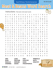#### Food 'N Fitness: The Kid Connection

4th-6th Grade

 $\widetilde{\mathbb{Q}^{\mathbb{C}}}$ 

 $\overline{\mathbb{Q}}$ 

## Meat & Beans Word Search

**Instructions:** Find and circle each word.



**ZINC IRON MUSCLE VITAMINS LEAN PROTEIN IMMUNE SEEDS FISH POULTRY EGGS PHOSPHORUS**